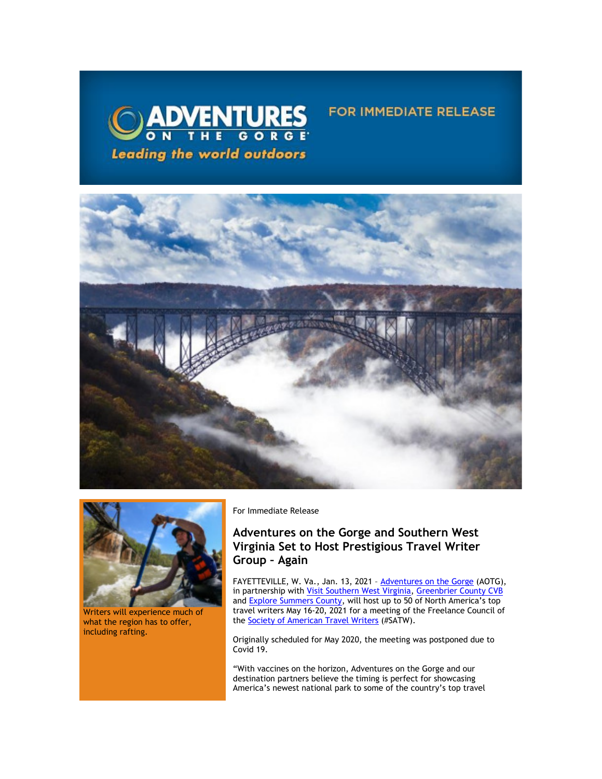



Writers will experience much of what the region has to offer, including rafting.

For Immediate Release

# **Adventures on the Gorge and Southern West Virginia Set to Host Prestigious Travel Writer Group – Again**

FAYETTEVILLE, W. Va., Jan. 13, 2021 - **Adventures on the Gorge** (AOTG), in partnership with <u>Visit Southern West Virginia</u>, [Greenbrier County CVB](https://click.icptrack.com/icp/relay.php?r=13440961&msgid=470342&act=3SPQ&c=1378153&destination=https%3A%2F%2Fgreenbrierwv.com%2F&cf=13608&v=737d291dd0945ef030c0bbab2aaff9829289ed3b90b71d2e523d8f6a3aea9966) and [Explore Summers County](https://click.icptrack.com/icp/relay.php?r=13440961&msgid=470342&act=3SPQ&c=1378153&destination=http%3A%2F%2Fwww.exploresummerscounty.com%2F&cf=13608&v=f312f730e29660c0e30b18c7bfdfa548a6a67afe9a502f19c0b34768fc5325a2), will host up to 50 of North America's top travel writers May 16-20, 2021 for a meeting of the Freelance Council of the [Society of American Travel Writers](https://click.icptrack.com/icp/relay.php?r=13440961&msgid=470342&act=3SPQ&c=1378153&destination=https%3A%2F%2Fsatw.org%2F&cf=13608&v=9ad09355e102989809683d44d4d5e1d4d5eceef9814b1812f92571f2ac875287) (#SATW).

FOR IMMEDIATE RELEASE

Originally scheduled for May 2020, the meeting was postponed due to Covid 19.

"With vaccines on the horizon, Adventures on the Gorge and our destination partners believe the timing is perfect for showcasing America's newest national park to some of the country's top travel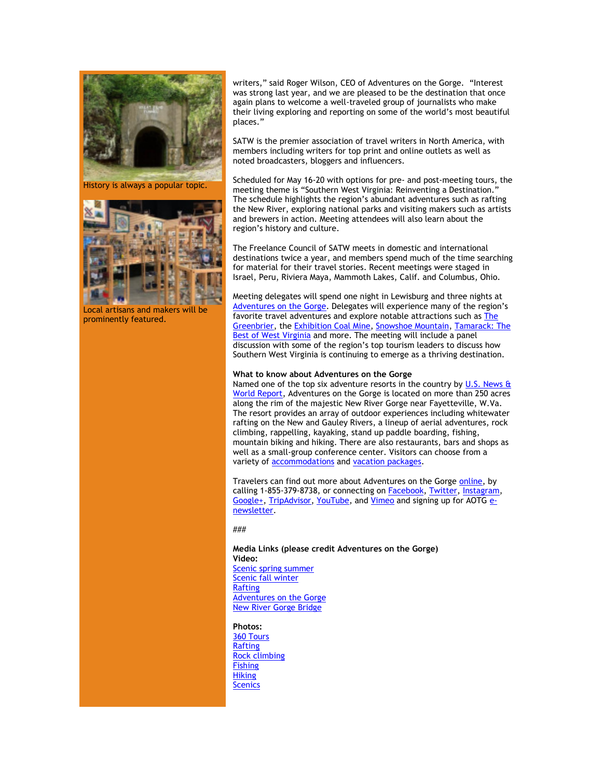

History is always a popular topic.



Local artisans and makers will be prominently featured.

writers," said Roger Wilson, CEO of Adventures on the Gorge. "Interest was strong last year, and we are pleased to be the destination that once again plans to welcome a well-traveled group of journalists who make their living exploring and reporting on some of the world's most beautiful places."

SATW is the premier association of travel writers in North America, with members including writers for top print and online outlets as well as noted broadcasters, bloggers and influencers.

Scheduled for May 16-20 with options for pre- and post-meeting tours, the meeting theme is "Southern West Virginia: Reinventing a Destination." The schedule highlights the region's abundant adventures such as rafting the New River, exploring national parks and visiting makers such as artists and brewers in action. Meeting attendees will also learn about the region's history and culture.

The Freelance Council of SATW meets in domestic and international destinations twice a year, and members spend much of the time searching for material for their travel stories. Recent meetings were staged in Israel, Peru, Riviera Maya, Mammoth Lakes, Calif. and Columbus, Ohio.

Meeting delegates will spend one night in Lewisburg and three nights at [Adventures on the Gorge](https://click.icptrack.com/icp/relay.php?r=13440961&msgid=470342&act=3SPQ&c=1378153&destination=http%3A%2F%2Fwww.adventuresonthegorge.com%2F&cf=13608&v=5a6d29c5bd89500c6946838c97b8849561ebbd48dbb2fdae9fe0068cb3f8e60e). Delegates will experience many of the region's favorite travel adventures and explore notable attractions such a[s The](https://click.icptrack.com/icp/relay.php?r=13440961&msgid=470342&act=3SPQ&c=1378153&destination=https%3A%2F%2Fgreenbrier.com%2F&cf=13608&v=ba860400cef2ead606b5e26ccd76c2fe240ed0ead5b1d6e2179d7d54bd9cb984)  [Greenbrier,](https://click.icptrack.com/icp/relay.php?r=13440961&msgid=470342&act=3SPQ&c=1378153&destination=https%3A%2F%2Fgreenbrier.com%2F&cf=13608&v=ba860400cef2ead606b5e26ccd76c2fe240ed0ead5b1d6e2179d7d54bd9cb984) the [Exhibition Coal Mine,](https://click.icptrack.com/icp/relay.php?r=13440961&msgid=470342&act=3SPQ&c=1378153&destination=https%3A%2F%2Fbeckley.org%2Fgeneral-information-coal-mine%2F&cf=13608&v=421f7496d75345f07dec42e14fd64f7299110354151aec57d2a6bbfb6ddd1bf8) [Snowshoe Mountain,](https://click.icptrack.com/icp/relay.php?r=13440961&msgid=470342&act=3SPQ&c=1378153&destination=http%3A%2F%2Fwww.snowshoemtn.com%2F&cf=13608&v=3b840096f900d54da2f448eb5d2ab9a16601afc81ba5ecd37af68cb2f16d45e5) [Tamarack: The](https://click.icptrack.com/icp/relay.php?r=13440961&msgid=470342&act=3SPQ&c=1378153&destination=https%3A%2F%2Fwww.tamarackwv.com%2F&cf=13608&v=d07421d2e12792162f186f57d322f0f77104fc718f0b2c00d0b4de5103a8e752)  [Best of West Virginia a](https://click.icptrack.com/icp/relay.php?r=13440961&msgid=470342&act=3SPQ&c=1378153&destination=https%3A%2F%2Fwww.tamarackwv.com%2F&cf=13608&v=d07421d2e12792162f186f57d322f0f77104fc718f0b2c00d0b4de5103a8e752)nd more. The meeting will include a panel discussion with some of the region's top tourism leaders to discuss how Southern West Virginia is continuing to emerge as a thriving destination.

# **What to know about Adventures on the Gorge**

Named one of the top six adventure resorts in the country by U.S. News & [World Report,](https://click.icptrack.com/icp/relay.php?r=13440961&msgid=470342&act=3SPQ&c=1378153&destination=http%3A%2F%2Ftravel.usnews.com%2Fgallery%2Famericas-6-top-adventure-resorts&cf=13608&v=764bfdbe430f777c5bcc69b025c1a8805ca5cbb157f8c18454c411b272e07901) Adventures on the Gorge is located on more than 250 acres along the rim of the majestic New River Gorge near Fayetteville, W.Va. The resort provides an array of outdoor experiences including whitewater rafting on the New and Gauley Rivers, a lineup of aerial adventures, rock climbing, rappelling, kayaking, stand up paddle boarding, fishing, mountain biking and hiking. There are also restaurants, bars and shops as well as a small-group conference center. Visitors can choose from a variety of [accommodations](https://click.icptrack.com/icp/relay.php?r=13440961&msgid=470342&act=3SPQ&c=1378153&destination=https%3A%2F%2Fadventuresonthegorge.com%2Flodging%2F&cf=13608&v=a0a1ec07ee637c78242d3333295573a8e337130c936224b8e1d32f73fd9e88eb) and [vacation packages.](https://click.icptrack.com/icp/relay.php?r=13440961&msgid=470342&act=3SPQ&c=1378153&destination=https%3A%2F%2Fadventuresonthegorge.com%2Fpackages%2F&cf=13608&v=8751df1b896b42a43c8f638cff3537e1a0bec91ccd87a43021a073a818c593de)

Travelers can find out more about Adventures on the Gorge [online,](https://click.icptrack.com/icp/relay.php?r=13440961&msgid=470342&act=3SPQ&c=1378153&destination=http%3A%2F%2Fwww.adventuresonthegorge.com%2F&cf=13608&v=5a6d29c5bd89500c6946838c97b8849561ebbd48dbb2fdae9fe0068cb3f8e60e) by calling 1-855-379-8738, or connecting on [Facebook,](https://click.icptrack.com/icp/relay.php?r=13440961&msgid=470342&act=3SPQ&c=1378153&destination=https%3A%2F%2Fwww.facebook.com%2Fadventuresonthegorge&cf=13608&v=3ae1e8e26c07dbafaaeed67c8a0b8fc0091b0e50b2e6c3b2133cb61911e107ad) [Twitter,](https://click.icptrack.com/icp/relay.php?r=13440961&msgid=470342&act=3SPQ&c=1378153&destination=https%3A%2F%2Ftwitter.com%2Fonthegorge&cf=13608&v=44da65765a4741d2084650c093dae53617e5c7c92b9f6819d24521654e5f4fd3) [Instagram,](https://click.icptrack.com/icp/relay.php?r=13440961&msgid=470342&act=3SPQ&c=1378153&destination=https%3A%2F%2Fwww.instagram.com%2Fonthegorge%2F&cf=13608&v=1ee16880632f1eb73eb9ad24dd989e2d12bd5a71d0cb5b3945f15e683acdaa9e) [Google+,](https://click.icptrack.com/icp/relay.php?r=13440961&msgid=470342&act=3SPQ&c=1378153&destination=https%3A%2F%2Fplus.google.com%2F%2BAdventurewestvirginiaOnTheGorge%2Fposts&cf=13608&v=ef2665612b0c6b373f1f36a2b56fad2c6e569d53a114b963b76ab7480e59f65b) [TripAdvisor,](https://click.icptrack.com/icp/relay.php?r=13440961&msgid=470342&act=3SPQ&c=1378153&destination=https%3A%2F%2Fwww.tripadvisor.com%2FAttraction_Review-g59234-d2233643-Reviews-Adventures_on_the_Gorge-Lansing_West_Virginia.html&cf=13608&v=812472f5ea0d5eed3fed4db26567b4c884479f53ef512c18d25b071271e965bc) [YouTube,](https://click.icptrack.com/icp/relay.php?r=13440961&msgid=470342&act=3SPQ&c=1378153&destination=https%3A%2F%2Fwww.youtube.com%2Fuser%2FAdventuresOnTheGorge&cf=13608&v=7b71b3e994e129bfdca87c6523149b64faacb62e001d98eb26897d7c7236e8cc) and [Vimeo](https://click.icptrack.com/icp/relay.php?r=13440961&msgid=470342&act=3SPQ&c=1378153&destination=https%3A%2F%2Fvimeo.com%2Fuser4260102&cf=13608&v=4ff82f41c6c552c9da3c61684889fad58e153a690bdb0b74761adab86ca752a0) and signing up for AOTG [e](https://click.icptrack.com/icp/relay.php?r=13440961&msgid=470342&act=3SPQ&c=1378153&destination=https%3A%2F%2Fadventuresonthegorge.com%2F&cf=13608&v=a83cd0882452dd5ad1794082623f8c176d7586c5f6015a054a1c7b875f219550)[newsletter.](https://click.icptrack.com/icp/relay.php?r=13440961&msgid=470342&act=3SPQ&c=1378153&destination=https%3A%2F%2Fadventuresonthegorge.com%2F&cf=13608&v=a83cd0882452dd5ad1794082623f8c176d7586c5f6015a054a1c7b875f219550)

## ###

## **Media Links (please credit Adventures on the Gorge) Video:** [Scenic spring summer](https://click.icptrack.com/icp/relay.php?r=13440961&msgid=470342&act=3SPQ&c=1378153&destination=https%3A%2F%2Fwww.dropbox.com%2Fsh%2Fu7dzwp59jtkgtny%2FAAD_ZkMERaBTTkeGRX-Px4z5a%2FScenery%2FSpring_Summer%3Fdl%3D0%26subfolder_nav_tracking%3D1&cf=13608&v=dff7439c1db664d1795caf49da1a7f9808282c4475a262980a41e8dd4b4cdb96) [Scenic fall winter](https://click.icptrack.com/icp/relay.php?r=13440961&msgid=470342&act=3SPQ&c=1378153&destination=https%3A%2F%2Fwww.dropbox.com%2Fsh%2Fu7dzwp59jtkgtny%2FAAAmoHrrlH7hlLro_TQ04DJMa%2FScenery%2FFall_Winter%3Fdl%3D0%26subfolder_nav_tracking%3D1&cf=13608&v=e63651807376a1946066349ac3eb47a1168815fb860a39a2d7c71f8124d2992e) [Rafting](https://click.icptrack.com/icp/relay.php?r=13440961&msgid=470342&act=3SPQ&c=1378153&destination=https%3A%2F%2Fwww.dropbox.com%2Fsh%2Fu7dzwp59jtkgtny%2FAAAnK_WzowF1-G2oSP-ID17Aa%2FRafting%3Fdl%3D0%26subfolder_nav_tracking%3D1&cf=13608&v=cce19274de98d73976547e1b263ff9a300cf5947b8558077329f044d9a67c662) [Adventures on the Gorge](https://click.icptrack.com/icp/relay.php?r=13440961&msgid=470342&act=3SPQ&c=1378153&destination=https%3A%2F%2Fwww.dropbox.com%2Fsh%2Fu7dzwp59jtkgtny%2FAABti4OReUbcyWQpgs6P1Ivoa%2FResort%2520Video%3Fdl%3D0%26subfolder_nav_tracking%3D1&cf=13608&v=4a30e225264566b68e54f1996466e8f95529a4708b7ec8a0ff9076a46f2e5893) [New River Gorge Bridge](https://click.icptrack.com/icp/relay.php?r=13440961&msgid=470342&act=3SPQ&c=1378153&destination=https%3A%2F%2Fwww.dropbox.com%2Fsh%2Fu7dzwp59jtkgtny%2FAAABwYK16Ob1g7cgqlkWjH6Qa%2FBridge%3Fdl%3D0%26subfolder_nav_tracking%3D1&cf=13608&v=ccd385005e992fdd7e1c09de8180b0f88a34759a5cf2d29e594005cd022d9137)

**Photos:**

[360 Tours](https://click.icptrack.com/icp/relay.php?r=13440961&msgid=470342&act=3SPQ&c=1378153&destination=https%3A%2F%2Fwww.dropbox.com%2Fsh%2Ff26hk9n98ndi2l5%2FAAD5gjsAigmdOmVkkWcJ5C1Ta%2F360%3Fdl%3D0%26subfolder_nav_tracking%3D1&cf=13608&v=5ff1903a28876a6472921be3d9061c810a1c6bc10a1b7c4b133549e65171acaf) [Rafting](https://click.icptrack.com/icp/relay.php?r=13440961&msgid=470342&act=3SPQ&c=1378153&destination=https%3A%2F%2Fwww.dropbox.com%2Fsh%2Ff26hk9n98ndi2l5%2FAABjRw0L-GoNv05-cIKS-wsBa%2FRafting%3Fdl%3D0%26subfolder_nav_tracking%3D1&cf=13608&v=382f6850b156445dcef3b1d8ca23a6cf5075ebb1ac217db850c949b58255e4dc) [Rock climbing](https://click.icptrack.com/icp/relay.php?r=13440961&msgid=470342&act=3SPQ&c=1378153&destination=https%3A%2F%2Fwww.dropbox.com%2Fsh%2Ff26hk9n98ndi2l5%2FAABvbhszahNjDVfND8z0W2Aia%2FClimbing%3Fdl%3D0%26subfolder_nav_tracking%3D1&cf=13608&v=99d576f07a45669a71928ed6e8012fd5f9f4324348bc2cbaa4e3c22f72419d0f) **[Fishing](https://click.icptrack.com/icp/relay.php?r=13440961&msgid=470342&act=3SPQ&c=1378153&destination=https%3A%2F%2Fwww.dropbox.com%2Fsh%2Ff26hk9n98ndi2l5%2FAADrZkAQNK0-TUAUPqfqOWvGa%2FFishing%3Fdl%3D0%26subfolder_nav_tracking%3D1&cf=13608&v=ffd7ca3bc9d8b81b603691b43338b9d3941b341b957265e74048f0bc104da74f) [Hiking](https://click.icptrack.com/icp/relay.php?r=13440961&msgid=470342&act=3SPQ&c=1378153&destination=https%3A%2F%2Fwww.dropbox.com%2Fsh%2Ff26hk9n98ndi2l5%2FAAAFQqE37F0bwX00l50JEdwWa%2FHiking%3Fdl%3D0%26subfolder_nav_tracking%3D1&cf=13608&v=63ceb19213d16c6c4472315dcdd8fbca6f072097fef7b489727b2ff2d76d5740)** [Scenics](https://click.icptrack.com/icp/relay.php?r=13440961&msgid=470342&act=3SPQ&c=1378153&destination=https%3A%2F%2Fwww.dropbox.com%2Fsh%2Ff26hk9n98ndi2l5%2FAAAWoRetbLZHQgJResU-e-2Aa%2FScenery%3Fdl%3D0%26subfolder_nav_tracking%3D1&cf=13608&v=637295b71da5d9c9c0415f2148ddb8b1d47e1bc1ee9959aa1f49695564e2763d)